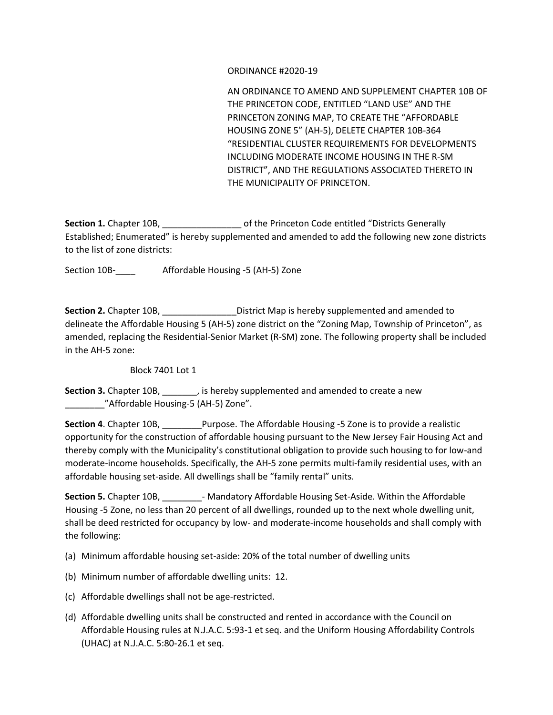## ORDINANCE #2020-19

AN ORDINANCE TO AMEND AND SUPPLEMENT CHAPTER 10B OF THE PRINCETON CODE, ENTITLED "LAND USE" AND THE PRINCETON ZONING MAP, TO CREATE THE "AFFORDABLE HOUSING ZONE 5" (AH-5), DELETE CHAPTER 10B-364 "RESIDENTIAL CLUSTER REQUIREMENTS FOR DEVELOPMENTS INCLUDING MODERATE INCOME HOUSING IN THE R-SM DISTRICT", AND THE REGULATIONS ASSOCIATED THERETO IN THE MUNICIPALITY OF PRINCETON.

Section 1. Chapter 10B, \_\_\_\_\_\_\_\_\_\_\_\_\_\_\_\_\_\_\_\_\_\_\_ of the Princeton Code entitled "Districts Generally Established; Enumerated" is hereby supplemented and amended to add the following new zone districts to the list of zone districts:

Section 10B-\_\_\_\_ Affordable Housing -5 (AH-5) Zone

Section 2. Chapter 10B, \_\_\_\_\_\_\_\_\_\_\_\_\_\_\_\_\_\_\_District Map is hereby supplemented and amended to delineate the Affordable Housing 5 (AH-5) zone district on the "Zoning Map, Township of Princeton", as amended, replacing the Residential-Senior Market (R-SM) zone. The following property shall be included in the AH-5 zone:

Block 7401 Lot 1

**Section 3.** Chapter 10B, \_\_\_\_\_\_\_, is hereby supplemented and amended to create a new \_\_\_\_\_\_\_\_"Affordable Housing-5 (AH-5) Zone".

**Section 4**. Chapter 10B, \_\_\_\_\_\_\_\_Purpose. The Affordable Housing -5 Zone is to provide a realistic opportunity for the construction of affordable housing pursuant to the New Jersey Fair Housing Act and thereby comply with the Municipality's constitutional obligation to provide such housing to for low-and moderate-income households. Specifically, the AH-5 zone permits multi-family residential uses, with an affordable housing set-aside. All dwellings shall be "family rental" units.

**Section 5.** Chapter 10B, \_\_\_\_\_\_\_\_- Mandatory Affordable Housing Set-Aside. Within the Affordable Housing -5 Zone, no less than 20 percent of all dwellings, rounded up to the next whole dwelling unit, shall be deed restricted for occupancy by low- and moderate-income households and shall comply with the following:

- (a) Minimum affordable housing set-aside: 20% of the total number of dwelling units
- (b) Minimum number of affordable dwelling units: 12.
- (c) Affordable dwellings shall not be age-restricted.
- (d) Affordable dwelling units shall be constructed and rented in accordance with the Council on Affordable Housing rules at N.J.A.C. 5:93-1 et seq. and the Uniform Housing Affordability Controls (UHAC) at N.J.A.C. 5:80-26.1 et seq.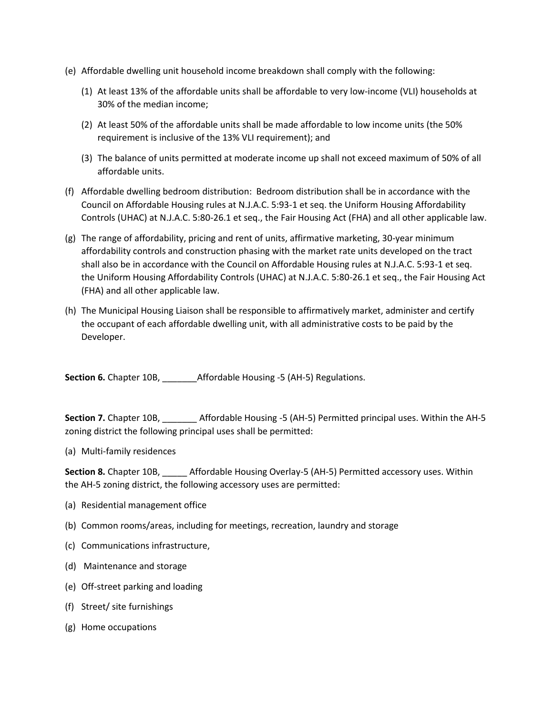- (e) Affordable dwelling unit household income breakdown shall comply with the following:
	- (1) At least 13% of the affordable units shall be affordable to very low-income (VLI) households at 30% of the median income;
	- (2) At least 50% of the affordable units shall be made affordable to low income units (the 50% requirement is inclusive of the 13% VLI requirement); and
	- (3) The balance of units permitted at moderate income up shall not exceed maximum of 50% of all affordable units.
- (f) Affordable dwelling bedroom distribution: Bedroom distribution shall be in accordance with the Council on Affordable Housing rules at N.J.A.C. 5:93-1 et seq. the Uniform Housing Affordability Controls (UHAC) at N.J.A.C. 5:80-26.1 et seq., the Fair Housing Act (FHA) and all other applicable law.
- (g) The range of affordability, pricing and rent of units, affirmative marketing, 30-year minimum affordability controls and construction phasing with the market rate units developed on the tract shall also be in accordance with the Council on Affordable Housing rules at N.J.A.C. 5:93-1 et seq. the Uniform Housing Affordability Controls (UHAC) at N.J.A.C. 5:80-26.1 et seq., the Fair Housing Act (FHA) and all other applicable law.
- (h) The Municipal Housing Liaison shall be responsible to affirmatively market, administer and certify the occupant of each affordable dwelling unit, with all administrative costs to be paid by the Developer.

**Section 6.** Chapter 10B, Affordable Housing -5 (AH-5) Regulations.

**Section 7.** Chapter 10B, Affordable Housing -5 (AH-5) Permitted principal uses. Within the AH-5 zoning district the following principal uses shall be permitted:

(a) Multi-family residences

**Section 8.** Chapter 10B, \_\_\_\_\_ Affordable Housing Overlay-5 (AH-5) Permitted accessory uses. Within the AH-5 zoning district, the following accessory uses are permitted:

- (a) Residential management office
- (b) Common rooms/areas, including for meetings, recreation, laundry and storage
- (c) Communications infrastructure,
- (d) Maintenance and storage
- (e) Off-street parking and loading
- (f) Street/ site furnishings
- (g) Home occupations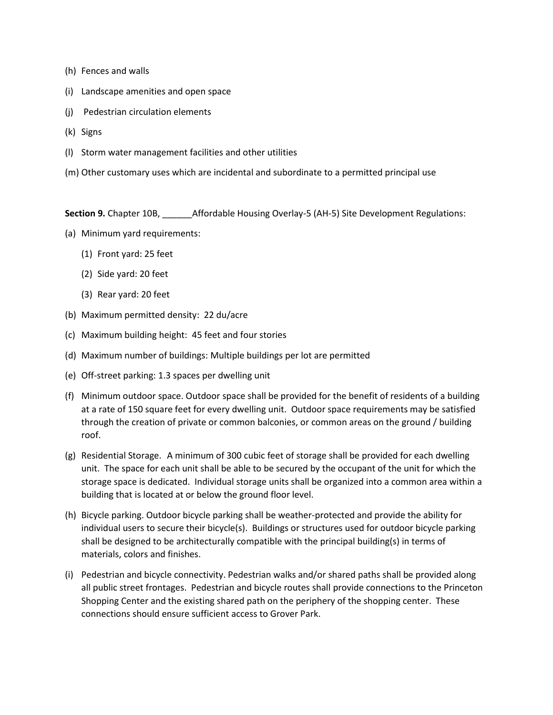- (h) Fences and walls
- (i) Landscape amenities and open space
- (j) Pedestrian circulation elements
- (k) Signs
- (l) Storm water management facilities and other utilities
- (m) Other customary uses which are incidental and subordinate to a permitted principal use

**Section 9.** Chapter 10B, \_\_\_\_\_\_Affordable Housing Overlay-5 (AH-5) Site Development Regulations:

- (a) Minimum yard requirements:
	- (1) Front yard: 25 feet
	- (2) Side yard: 20 feet
	- (3) Rear yard: 20 feet
- (b) Maximum permitted density: 22 du/acre
- (c) Maximum building height: 45 feet and four stories
- (d) Maximum number of buildings: Multiple buildings per lot are permitted
- (e) Off-street parking: 1.3 spaces per dwelling unit
- (f) Minimum outdoor space. Outdoor space shall be provided for the benefit of residents of a building at a rate of 150 square feet for every dwelling unit. Outdoor space requirements may be satisfied through the creation of private or common balconies, or common areas on the ground / building roof.
- (g) Residential Storage. A minimum of 300 cubic feet of storage shall be provided for each dwelling unit. The space for each unit shall be able to be secured by the occupant of the unit for which the storage space is dedicated. Individual storage units shall be organized into a common area within a building that is located at or below the ground floor level.
- (h) Bicycle parking. Outdoor bicycle parking shall be weather-protected and provide the ability for individual users to secure their bicycle(s). Buildings or structures used for outdoor bicycle parking shall be designed to be architecturally compatible with the principal building(s) in terms of materials, colors and finishes.
- (i) Pedestrian and bicycle connectivity. Pedestrian walks and/or shared paths shall be provided along all public street frontages. Pedestrian and bicycle routes shall provide connections to the Princeton Shopping Center and the existing shared path on the periphery of the shopping center. These connections should ensure sufficient access to Grover Park.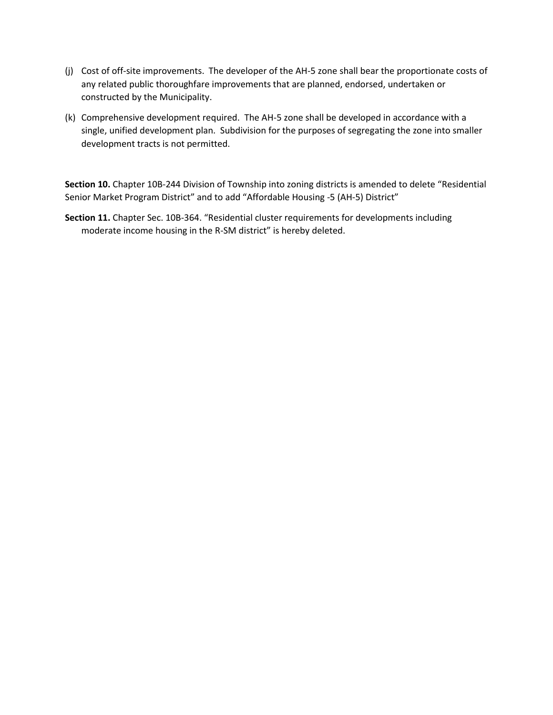- (j) Cost of off-site improvements. The developer of the AH-5 zone shall bear the proportionate costs of any related public thoroughfare improvements that are planned, endorsed, undertaken or constructed by the Municipality.
- (k) Comprehensive development required. The AH-5 zone shall be developed in accordance with a single, unified development plan. Subdivision for the purposes of segregating the zone into smaller development tracts is not permitted.

**Section 10.** Chapter 10B-244 Division of Township into zoning districts is amended to delete "Residential Senior Market Program District" and to add "Affordable Housing -5 (AH-5) District"

**Section 11.** Chapter Sec. 10B-364. "Residential cluster requirements for developments including moderate income housing in the R-SM district" is hereby deleted.